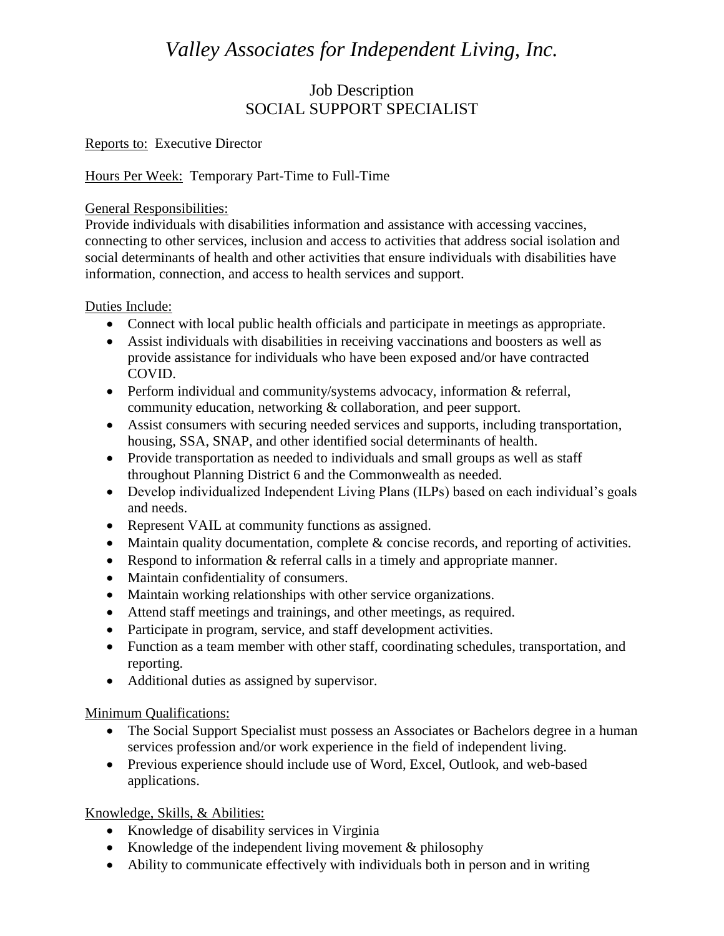# *Valley Associates for Independent Living, Inc.*

# Job Description SOCIAL SUPPORT SPECIALIST

#### Reports to: Executive Director

## Hours Per Week: Temporary Part-Time to Full-Time

#### General Responsibilities:

Provide individuals with disabilities information and assistance with accessing vaccines, connecting to other services, inclusion and access to activities that address social isolation and social determinants of health and other activities that ensure individuals with disabilities have information, connection, and access to health services and support.

#### Duties Include:

- Connect with local public health officials and participate in meetings as appropriate.
- Assist individuals with disabilities in receiving vaccinations and boosters as well as provide assistance for individuals who have been exposed and/or have contracted COVID.
- Perform individual and community/systems advocacy, information & referral, community education, networking & collaboration, and peer support.
- Assist consumers with securing needed services and supports, including transportation, housing, SSA, SNAP, and other identified social determinants of health.
- Provide transportation as needed to individuals and small groups as well as staff throughout Planning District 6 and the Commonwealth as needed.
- Develop individualized Independent Living Plans (ILPs) based on each individual's goals and needs.
- Represent VAIL at community functions as assigned.
- Maintain quality documentation, complete & concise records, and reporting of activities.
- Respond to information & referral calls in a timely and appropriate manner.
- Maintain confidentiality of consumers.
- Maintain working relationships with other service organizations.
- Attend staff meetings and trainings, and other meetings, as required.
- Participate in program, service, and staff development activities.
- Function as a team member with other staff, coordinating schedules, transportation, and reporting.
- Additional duties as assigned by supervisor.

#### Minimum Qualifications:

- The Social Support Specialist must possess an Associates or Bachelors degree in a human services profession and/or work experience in the field of independent living.
- Previous experience should include use of Word, Excel, Outlook, and web-based applications.

## Knowledge, Skills, & Abilities:

- Knowledge of disability services in Virginia
- Knowledge of the independent living movement  $\&$  philosophy
- Ability to communicate effectively with individuals both in person and in writing